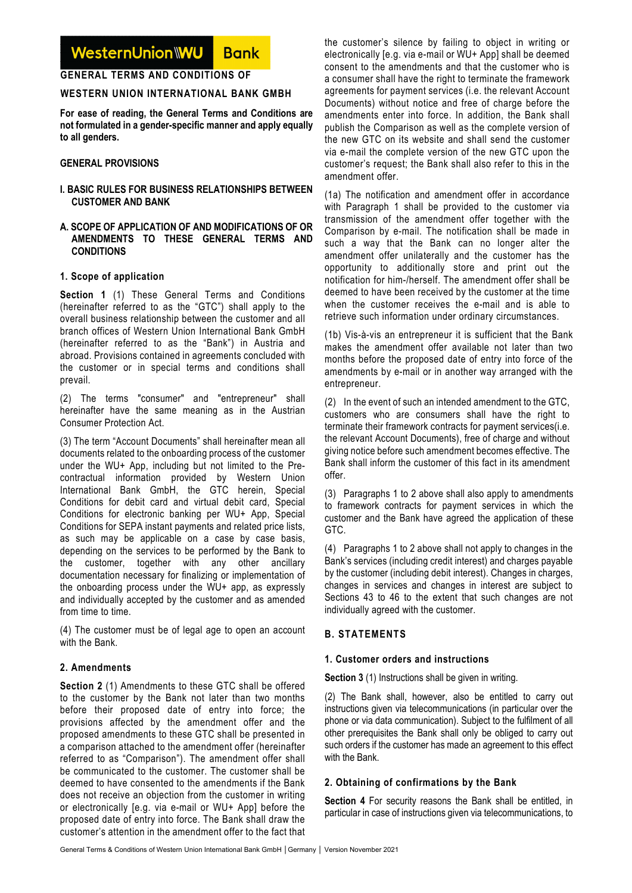#### WesternUnion\WU **Bank**

## **GENERAL TERMS AND CONDITIONS OF**

## **WESTERN UNION INTERNATIONAL BANK GMBH**

**For ease of reading, the General Terms and Conditions are not formulated in a gender-specific manner and apply equally to all genders.** 

### **GENERAL PROVISIONS**

#### **I. BASIC RULES FOR BUSINESS RELATIONSHIPS BETWEEN CUSTOMER AND BANK**

### **A. SCOPE OF APPLICATION OF AND MODIFICATIONS OF OR AMENDMENTS TO THESE GENERAL TERMS AND CONDITIONS**

### **1. Scope of application**

**Section 1** (1) These General Terms and Conditions (hereinafter referred to as the "GTC") shall apply to the overall business relationship between the customer and all branch offices of Western Union International Bank GmbH (hereinafter referred to as the "Bank") in Austria and abroad. Provisions contained in agreements concluded with the customer or in special terms and conditions shall prevail.

(2) The terms "consumer" and "entrepreneur" shall hereinafter have the same meaning as in the Austrian Consumer Protection Act.

(3) The term "Account Documents" shall hereinafter mean all documents related to the onboarding process of the customer under the WU+ App, including but not limited to the Precontractual information provided by Western Union International Bank GmbH, the GTC herein, Special Conditions for debit card and virtual debit card, Special Conditions for electronic banking per WU+ App, Special Conditions for SEPA instant payments and related price lists, as such may be applicable on a case by case basis, depending on the services to be performed by the Bank to the customer, together with any other ancillary documentation necessary for finalizing or implementation of the onboarding process under the WU+ app, as expressly and individually accepted by the customer and as amended from time to time.

(4) The customer must be of legal age to open an account with the Bank.

# **2. Amendments**

**Section 2** (1) Amendments to these GTC shall be offered to the customer by the Bank not later than two months before their proposed date of entry into force; the provisions affected by the amendment offer and the proposed amendments to these GTC shall be presented in a comparison attached to the amendment offer (hereinafter referred to as "Comparison"). The amendment offer shall be communicated to the customer. The customer shall be deemed to have consented to the amendments if the Bank does not receive an objection from the customer in writing or electronically [e.g. via e-mail or WU+ App] before the proposed date of entry into force. The Bank shall draw the customer's attention in the amendment offer to the fact that

the customer's silence by failing to object in writing or electronically [e.g. via e-mail or WU+ App] shall be deemed consent to the amendments and that the customer who is a consumer shall have the right to terminate the framework agreements for payment services (i.e. the relevant Account Documents) without notice and free of charge before the amendments enter into force. In addition, the Bank shall publish the Comparison as well as the complete version of the new GTC on its website and shall send the customer via e-mail the complete version of the new GTC upon the customer's request; the Bank shall also refer to this in the amendment offer.

(1a) The notification and amendment offer in accordance with Paragraph 1 shall be provided to the customer via transmission of the amendment offer together with the Comparison by e-mail. The notification shall be made in such a way that the Bank can no longer alter the amendment offer unilaterally and the customer has the opportunity to additionally store and print out the notification for him-/herself. The amendment offer shall be deemed to have been received by the customer at the time when the customer receives the e-mail and is able to retrieve such information under ordinary circumstances.

(1b) Vis-à-vis an entrepreneur it is sufficient that the Bank makes the amendment offer available not later than two months before the proposed date of entry into force of the amendments by e-mail or in another way arranged with the entrepreneur.

(2) In the event of such an intended amendment to the GTC, customers who are consumers shall have the right to terminate their framework contracts for payment services(i.e. the relevant Account Documents), free of charge and without giving notice before such amendment becomes effective. The Bank shall inform the customer of this fact in its amendment offer.

(3) Paragraphs 1 to 2 above shall also apply to amendments to framework contracts for payment services in which the customer and the Bank have agreed the application of these GTC.

(4) Paragraphs 1 to 2 above shall not apply to changes in the Bank's services (including credit interest) and charges payable by the customer (including debit interest). Changes in charges, changes in services and changes in interest are subject to Sections 43 to 46 to the extent that such changes are not individually agreed with the customer.

# **B. STATEMENTS**

### **1. Customer orders and instructions**

**Section 3** (1) Instructions shall be given in writing.

(2) The Bank shall, however, also be entitled to carry out instructions given via telecommunications (in particular over the phone or via data communication). Subject to the fulfilment of all other prerequisites the Bank shall only be obliged to carry out such orders if the customer has made an agreement to this effect with the Bank.

# **2. Obtaining of confirmations by the Bank**

**Section 4** For security reasons the Bank shall be entitled, in particular in case of instructions given via telecommunications, to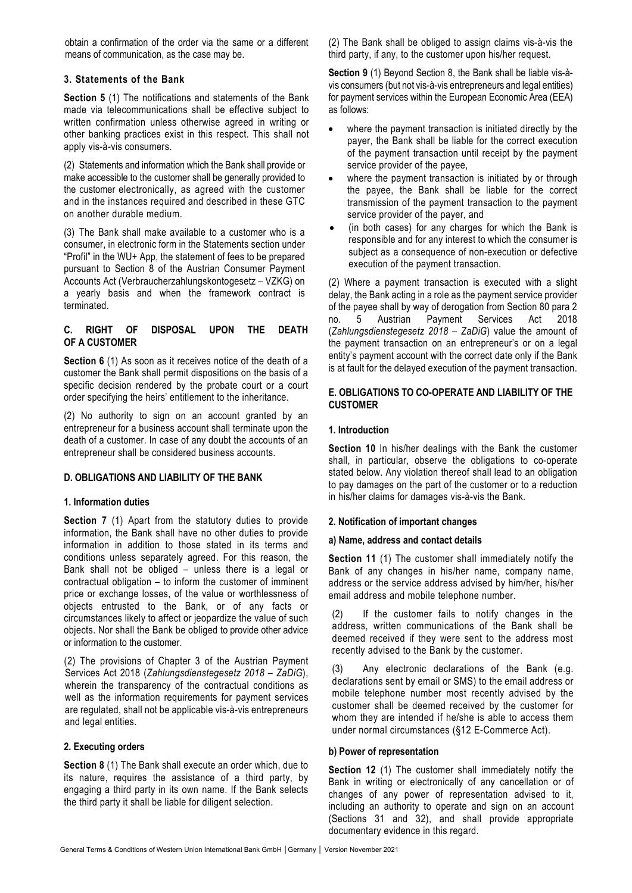obtain a confirmation of the order via the same or a different means of communication, as the case may be.

## **3. Statements of the Bank**

**Section 5** (1) The notifications and statements of the Bank made via telecommunications shall be effective subject to written confirmation unless otherwise agreed in writing or other banking practices exist in this respect. This shall not apply vis-à-vis consumers.

(2) Statements and information which the Bank shall provide or make accessible to the customer shall be generally provided to the customer electronically, as agreed with the customer and in the instances required and described in these GTC on another durable medium.

(3) The Bank shall make available to a customer who is a consumer, in electronic form in the Statements section under "Profil" in the WU+ App, the statement of fees to be prepared pursuant to Section 8 of the Austrian Consumer Payment Accounts Act (Verbraucherzahlungskontogesetz – VZKG) on a yearly basis and when the framework contract is terminated.

## **C. RIGHT OF DISPOSAL UPON THE DEATH OF A CUSTOMER**

**Section 6** (1) As soon as it receives notice of the death of a customer the Bank shall permit dispositions on the basis of a specific decision rendered by the probate court or a court order specifying the heirs' entitlement to the inheritance.

(2) No authority to sign on an account granted by an entrepreneur for a business account shall terminate upon the death of a customer. In case of any doubt the accounts of an entrepreneur shall be considered business accounts.

### **D. OBLIGATIONS AND LIABILITY OF THE BANK**

### **1. Information duties**

**Section 7** (1) Apart from the statutory duties to provide information, the Bank shall have no other duties to provide information in addition to those stated in its terms and conditions unless separately agreed. For this reason, the Bank shall not be obliged – unless there is a legal or contractual obligation – to inform the customer of imminent price or exchange losses, of the value or worthlessness of objects entrusted to the Bank, or of any facts or circumstances likely to affect or jeopardize the value of such objects. Nor shall the Bank be obliged to provide other advice or information to the customer.

(2) The provisions of Chapter 3 of the Austrian Payment Services Act 2018 (*Zahlungsdienstegesetz 2018 – ZaDiG*), wherein the transparency of the contractual conditions as well as the information requirements for payment services are regulated, shall not be applicable vis-à-vis entrepreneurs and legal entities.

## **2. Executing orders**

**Section 8** (1) The Bank shall execute an order which, due to its nature, requires the assistance of a third party, by engaging a third party in its own name. If the Bank selects the third party it shall be liable for diligent selection.

(2) The Bank shall be obliged to assign claims vis-à-vis the third party, if any, to the customer upon his/her request.

**Section 9** (1) Beyond Section 8, the Bank shall be liable vis-àvis consumers (but not vis-à-vis entrepreneurs and legal entities) for payment services within the European Economic Area (EEA) as follows:

- where the payment transaction is initiated directly by the payer, the Bank shall be liable for the correct execution of the payment transaction until receipt by the payment service provider of the payee,
- where the payment transaction is initiated by or through the payee, the Bank shall be liable for the correct transmission of the payment transaction to the payment service provider of the payer, and
- (in both cases) for any charges for which the Bank is responsible and for any interest to which the consumer is subject as a consequence of non-execution or defective execution of the payment transaction.

(2) Where a payment transaction is executed with a slight delay, the Bank acting in a role as the payment service provider of the payee shall by way of derogation from Section 80 para 2 no. 5 Austrian Payment Services Act 2018 (*Zahlungsdienstegesetz 2018 – ZaDiG*) value the amount of the payment transaction on an entrepreneur's or on a legal entity's payment account with the correct date only if the Bank is at fault for the delayed execution of the payment transaction.

## **E. OBLIGATIONS TO CO-OPERATE AND LIABILITY OF THE CUSTOMER**

### **1. Introduction**

**Section 10** In his/her dealings with the Bank the customer shall, in particular, observe the obligations to co-operate stated below. Any violation thereof shall lead to an obligation to pay damages on the part of the customer or to a reduction in his/her claims for damages vis-à-vis the Bank.

### **2. Notification of important changes**

### **a) Name, address and contact details**

**Section 11** (1) The customer shall immediately notify the Bank of any changes in his/her name, company name, address or the service address advised by him/her, his/her email address and mobile telephone number.

(2) If the customer fails to notify changes in the address, written communications of the Bank shall be deemed received if they were sent to the address most recently advised to the Bank by the customer.

(3) Any electronic declarations of the Bank (e.g. declarations sent by email or SMS) to the email address or mobile telephone number most recently advised by the customer shall be deemed received by the customer for whom they are intended if he/she is able to access them under normal circumstances (§12 E-Commerce Act).

### **b) Power of representation**

**Section 12** (1) The customer shall immediately notify the Bank in writing or electronically of any cancellation or of changes of any power of representation advised to it, including an authority to operate and sign on an account (Sections 31 and 32), and shall provide appropriate documentary evidence in this regard.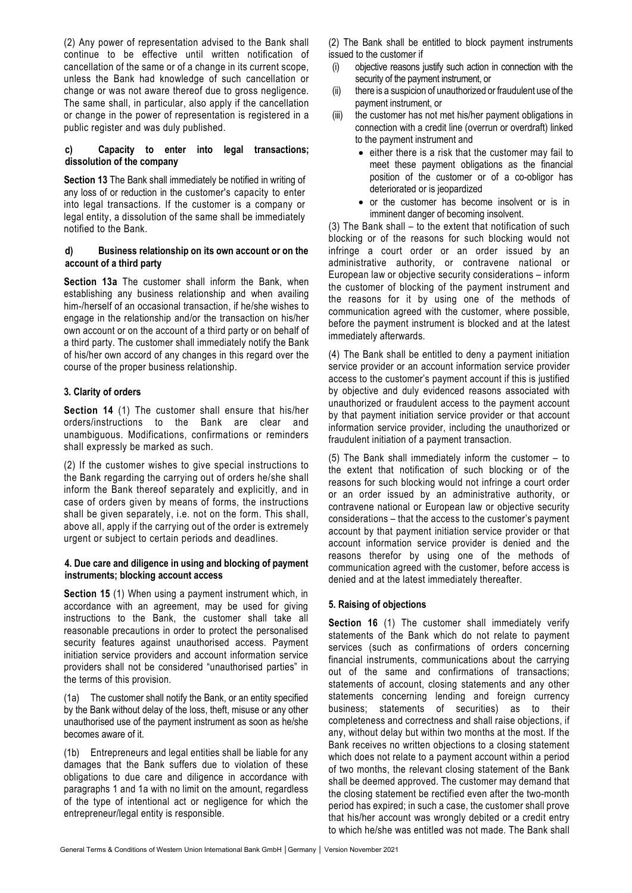(2) Any power of representation advised to the Bank shall continue to be effective until written notification of cancellation of the same or of a change in its current scope, unless the Bank had knowledge of such cancellation or change or was not aware thereof due to gross negligence. The same shall, in particular, also apply if the cancellation or change in the power of representation is registered in a public register and was duly published.

#### **c) Capacity to enter into legal transactions; dissolution of the company**

**Section 13** The Bank shall immediately be notified in writing of any loss of or reduction in the customer's capacity to enter into legal transactions. If the customer is a company or legal entity, a dissolution of the same shall be immediately notified to the Bank.

### **d) Business relationship on its own account or on the account of a third party**

**Section 13a** The customer shall inform the Bank, when establishing any business relationship and when availing him-/herself of an occasional transaction, if he/she wishes to engage in the relationship and/or the transaction on his/her own account or on the account of a third party or on behalf of a third party. The customer shall immediately notify the Bank of his/her own accord of any changes in this regard over the course of the proper business relationship.

## **3. Clarity of orders**

**Section 14** (1) The customer shall ensure that his/her orders/instructions to the Bank are clear and unambiguous. Modifications, confirmations or reminders shall expressly be marked as such.

(2) If the customer wishes to give special instructions to the Bank regarding the carrying out of orders he/she shall inform the Bank thereof separately and explicitly, and in case of orders given by means of forms, the instructions shall be given separately, i.e. not on the form. This shall, above all, apply if the carrying out of the order is extremely urgent or subject to certain periods and deadlines.

#### **4. Due care and diligence in using and blocking of payment instruments; blocking account access**

**Section 15** (1) When using a payment instrument which, in accordance with an agreement, may be used for giving instructions to the Bank, the customer shall take all reasonable precautions in order to protect the personalised security features against unauthorised access. Payment initiation service providers and account information service providers shall not be considered "unauthorised parties" in the terms of this provision.

(1a) The customer shall notify the Bank, or an entity specified by the Bank without delay of the loss, theft, misuse or any other unauthorised use of the payment instrument as soon as he/she becomes aware of it.

(1b) Entrepreneurs and legal entities shall be liable for any damages that the Bank suffers due to violation of these obligations to due care and diligence in accordance with paragraphs 1 and 1a with no limit on the amount, regardless of the type of intentional act or negligence for which the entrepreneur/legal entity is responsible.

(2) The Bank shall be entitled to block payment instruments issued to the customer if

- (i) objective reasons justify such action in connection with the security of the payment instrument, or
- (ii) there is a suspicion of unauthorized or fraudulent use of the payment instrument, or
- (iii) the customer has not met his/her payment obligations in connection with a credit line (overrun or overdraft) linked to the payment instrument and
	- either there is a risk that the customer may fail to meet these payment obligations as the financial position of the customer or of a co-obligor has deteriorated or is jeopardized
	- or the customer has become insolvent or is in imminent danger of becoming insolvent.

(3) The Bank shall – to the extent that notification of such blocking or of the reasons for such blocking would not infringe a court order or an order issued by an administrative authority, or contravene national or European law or objective security considerations – inform the customer of blocking of the payment instrument and the reasons for it by using one of the methods of communication agreed with the customer, where possible, before the payment instrument is blocked and at the latest immediately afterwards.

(4) The Bank shall be entitled to deny a payment initiation service provider or an account information service provider access to the customer's payment account if this is justified by objective and duly evidenced reasons associated with unauthorized or fraudulent access to the payment account by that payment initiation service provider or that account information service provider, including the unauthorized or fraudulent initiation of a payment transaction.

(5) The Bank shall immediately inform the customer – to the extent that notification of such blocking or of the reasons for such blocking would not infringe a court order or an order issued by an administrative authority, or contravene national or European law or objective security considerations – that the access to the customer's payment account by that payment initiation service provider or that account information service provider is denied and the reasons therefor by using one of the methods of communication agreed with the customer, before access is denied and at the latest immediately thereafter.

### **5. Raising of objections**

**Section 16** (1) The customer shall immediately verify statements of the Bank which do not relate to payment services (such as confirmations of orders concerning financial instruments, communications about the carrying out of the same and confirmations of transactions; statements of account, closing statements and any other statements concerning lending and foreign currency business; statements of securities) as to their completeness and correctness and shall raise objections, if any, without delay but within two months at the most. If the Bank receives no written objections to a closing statement which does not relate to a payment account within a period of two months, the relevant closing statement of the Bank shall be deemed approved. The customer may demand that the closing statement be rectified even after the two-month period has expired; in such a case, the customer shall prove that his/her account was wrongly debited or a credit entry to which he/she was entitled was not made. The Bank shall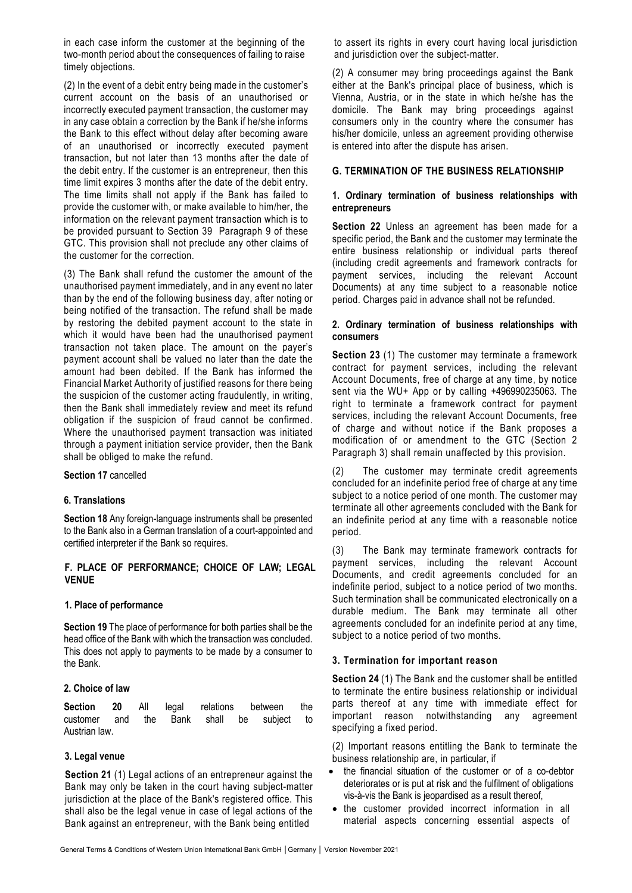in each case inform the customer at the beginning of the two-month period about the consequences of failing to raise timely objections.

(2) In the event of a debit entry being made in the customer's current account on the basis of an unauthorised or incorrectly executed payment transaction, the customer may in any case obtain a correction by the Bank if he/she informs the Bank to this effect without delay after becoming aware of an unauthorised or incorrectly executed payment transaction, but not later than 13 months after the date of the debit entry. If the customer is an entrepreneur, then this time limit expires 3 months after the date of the debit entry. The time limits shall not apply if the Bank has failed to provide the customer with, or make available to him/her, the information on the relevant payment transaction which is to be provided pursuant to Section 39 Paragraph 9 of these GTC. This provision shall not preclude any other claims of the customer for the correction.

(3) The Bank shall refund the customer the amount of the unauthorised payment immediately, and in any event no later than by the end of the following business day, after noting or being notified of the transaction. The refund shall be made by restoring the debited payment account to the state in which it would have been had the unauthorised payment transaction not taken place. The amount on the payer's payment account shall be valued no later than the date the amount had been debited. If the Bank has informed the Financial Market Authority of justified reasons for there being the suspicion of the customer acting fraudulently, in writing, then the Bank shall immediately review and meet its refund obligation if the suspicion of fraud cannot be confirmed. Where the unauthorised payment transaction was initiated through a payment initiation service provider, then the Bank shall be obliged to make the refund.

### **Section 17** cancelled

### **6. Translations**

**Section 18** Any foreign-language instruments shall be presented to the Bank also in a German translation of a court-appointed and certified interpreter if the Bank so requires.

#### **F. PLACE OF PERFORMANCE; CHOICE OF LAW; LEGAL VENUE**

#### **1. Place of performance**

**Section 19** The place of performance for both parties shall be the head office of the Bank with which the transaction was concluded. This does not apply to payments to be made by a consumer to the Bank.

#### **2. Choice of law**

**Section 20** All legal relations between the customer and the Bank shall be subject to Austrian law.

### **3. Legal venue**

**Section 21** (1) Legal actions of an entrepreneur against the Bank may only be taken in the court having subject-matter jurisdiction at the place of the Bank's registered office. This shall also be the legal venue in case of legal actions of the Bank against an entrepreneur, with the Bank being entitled

to assert its rights in every court having local jurisdiction and jurisdiction over the subject-matter.

(2) A consumer may bring proceedings against the Bank either at the Bank's principal place of business, which is Vienna, Austria, or in the state in which he/she has the domicile. The Bank may bring proceedings against consumers only in the country where the consumer has his/her domicile, unless an agreement providing otherwise is entered into after the dispute has arisen.

## **G. TERMINATION OF THE BUSINESS RELATIONSHIP**

#### **1. Ordinary termination of business relationships with entrepreneurs**

**Section 22** Unless an agreement has been made for a specific period, the Bank and the customer may terminate the entire business relationship or individual parts thereof (including credit agreements and framework contracts for payment services, including the relevant Account Documents) at any time subject to a reasonable notice period. Charges paid in advance shall not be refunded.

#### **2. Ordinary termination of business relationships with consumers**

**Section 23** (1) The customer may terminate a framework contract for payment services, including the relevant Account Documents, free of charge at any time, by notice sent via the WU+ App or by calling +496990235063. The right to terminate a framework contract for payment services, including the relevant Account Documents, free of charge and without notice if the Bank proposes a modification of or amendment to the GTC (Section 2 Paragraph 3) shall remain unaffected by this provision.

(2) The customer may terminate credit agreements concluded for an indefinite period free of charge at any time subject to a notice period of one month. The customer may terminate all other agreements concluded with the Bank for an indefinite period at any time with a reasonable notice period.

(3) The Bank may terminate framework contracts for payment services, including the relevant Account Documents, and credit agreements concluded for an indefinite period, subject to a notice period of two months. Such termination shall be communicated electronically on a durable medium. The Bank may terminate all other agreements concluded for an indefinite period at any time, subject to a notice period of two months.

### **3. Termination for important reason**

**Section 24** (1) The Bank and the customer shall be entitled to terminate the entire business relationship or individual parts thereof at any time with immediate effect for important reason notwithstanding any agreement specifying a fixed period.

(2) Important reasons entitling the Bank to terminate the business relationship are, in particular, if

- the financial situation of the customer or of a co-debtor deteriorates or is put at risk and the fulfilment of obligations vis-à-vis the Bank is jeopardised as a result thereof,
- the customer provided incorrect information in all material aspects concerning essential aspects of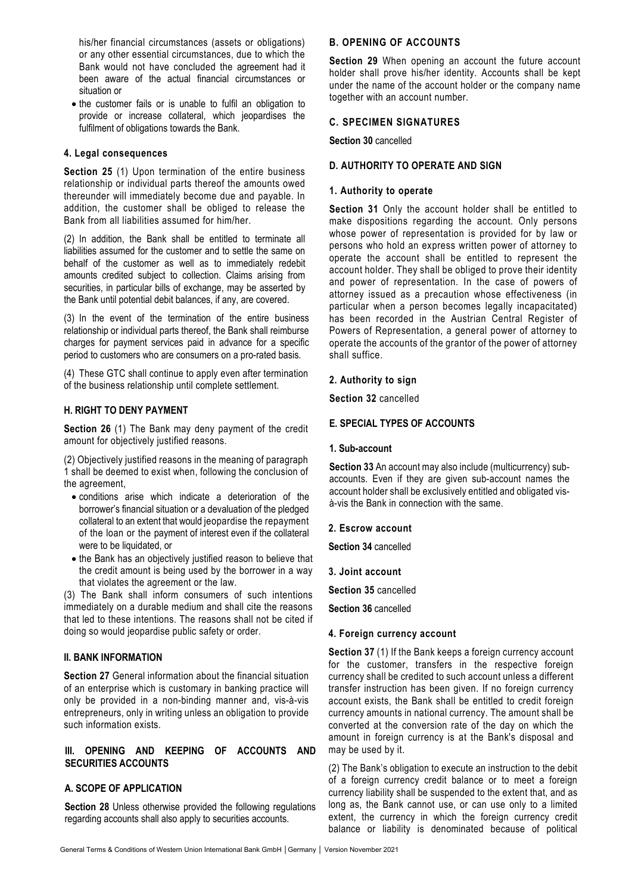his/her financial circumstances (assets or obligations) or any other essential circumstances, due to which the Bank would not have concluded the agreement had it been aware of the actual financial circumstances or situation or

• the customer fails or is unable to fulfil an obligation to provide or increase collateral, which jeopardises the fulfilment of obligations towards the Bank.

### **4. Legal consequences**

**Section 25** (1) Upon termination of the entire business relationship or individual parts thereof the amounts owed thereunder will immediately become due and payable. In addition, the customer shall be obliged to release the Bank from all liabilities assumed for him/her.

(2) In addition, the Bank shall be entitled to terminate all liabilities assumed for the customer and to settle the same on behalf of the customer as well as to immediately redebit amounts credited subject to collection. Claims arising from securities, in particular bills of exchange, may be asserted by the Bank until potential debit balances, if any, are covered.

(3) In the event of the termination of the entire business relationship or individual parts thereof, the Bank shall reimburse charges for payment services paid in advance for a specific period to customers who are consumers on a pro-rated basis.

(4) These GTC shall continue to apply even after termination of the business relationship until complete settlement.

### **H. RIGHT TO DENY PAYMENT**

**Section 26** (1) The Bank may deny payment of the credit amount for objectively justified reasons.

(2) Objectively justified reasons in the meaning of paragraph 1 shall be deemed to exist when, following the conclusion of the agreement,

- conditions arise which indicate a deterioration of the borrower's financial situation or a devaluation of the pledged collateral to an extent that would jeopardise the repayment of the loan or the payment of interest even if the collateral were to be liquidated, or
- the Bank has an objectively justified reason to believe that the credit amount is being used by the borrower in a way that violates the agreement or the law.

(3) The Bank shall inform consumers of such intentions immediately on a durable medium and shall cite the reasons that led to these intentions. The reasons shall not be cited if doing so would jeopardise public safety or order.

### **II. BANK INFORMATION**

**Section 27** General information about the financial situation of an enterprise which is customary in banking practice will only be provided in a non-binding manner and, vis-à-vis entrepreneurs, only in writing unless an obligation to provide such information exists.

## **III. OPENING AND KEEPING OF ACCOUNTS AND SECURITIES ACCOUNTS**

### **A. SCOPE OF APPLICATION**

**Section 28** Unless otherwise provided the following regulations regarding accounts shall also apply to securities accounts.

## **B. OPENING OF ACCOUNTS**

**Section 29** When opening an account the future account holder shall prove his/her identity. Accounts shall be kept under the name of the account holder or the company name together with an account number.

### **C. SPECIMEN SIGNATURES**

**Section 30** cancelled

## **D. AUTHORITY TO OPERATE AND SIGN**

### **1. Authority to operate**

**Section 31** Only the account holder shall be entitled to make dispositions regarding the account. Only persons whose power of representation is provided for by law or persons who hold an express written power of attorney to operate the account shall be entitled to represent the account holder. They shall be obliged to prove their identity and power of representation. In the case of powers of attorney issued as a precaution whose effectiveness (in particular when a person becomes legally incapacitated) has been recorded in the Austrian Central Register of Powers of Representation, a general power of attorney to operate the accounts of the grantor of the power of attorney shall suffice.

### **2. Authority to sign**

**Section 32** cancelled

## **E. SPECIAL TYPES OF ACCOUNTS**

#### **1. Sub-account**

**Section 33** An account may also include (multicurrency) subaccounts. Even if they are given sub-account names the account holder shall be exclusively entitled and obligated visà-vis the Bank in connection with the same.

#### **2. Escrow account**

**Section 34** cancelled

**3. Joint account** 

**Section 35** cancelled

**Section 36** cancelled

### **4. Foreign currency account**

**Section 37** (1) If the Bank keeps a foreign currency account for the customer, transfers in the respective foreign currency shall be credited to such account unless a different transfer instruction has been given. If no foreign currency account exists, the Bank shall be entitled to credit foreign currency amounts in national currency. The amount shall be converted at the conversion rate of the day on which the amount in foreign currency is at the Bank's disposal and may be used by it.

(2) The Bank's obligation to execute an instruction to the debit of a foreign currency credit balance or to meet a foreign currency liability shall be suspended to the extent that, and as long as, the Bank cannot use, or can use only to a limited extent, the currency in which the foreign currency credit balance or liability is denominated because of political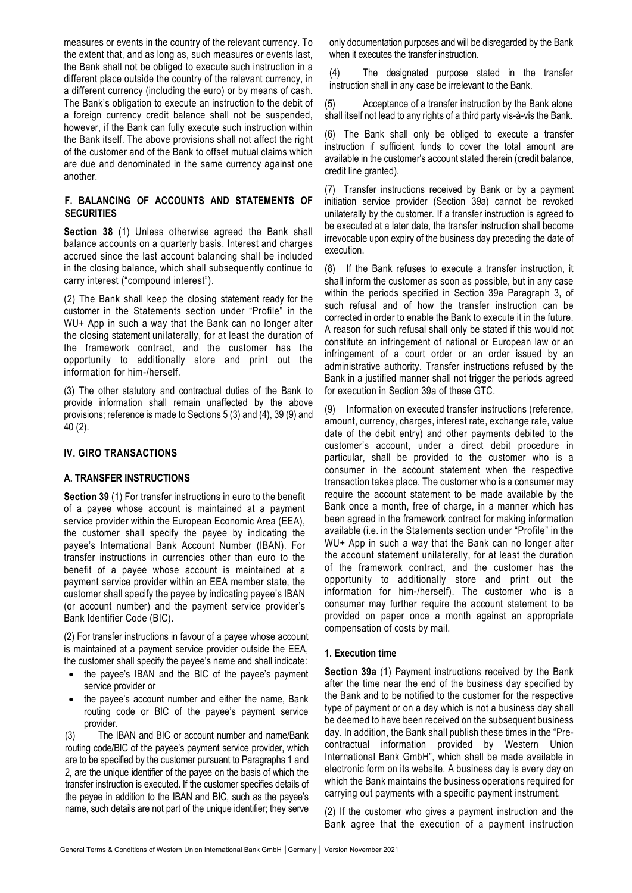measures or events in the country of the relevant currency. To the extent that, and as long as, such measures or events last, the Bank shall not be obliged to execute such instruction in a different place outside the country of the relevant currency, in a different currency (including the euro) or by means of cash. The Bank's obligation to execute an instruction to the debit of a foreign currency credit balance shall not be suspended, however, if the Bank can fully execute such instruction within the Bank itself. The above provisions shall not affect the right of the customer and of the Bank to offset mutual claims which are due and denominated in the same currency against one another.

## **F. BALANCING OF ACCOUNTS AND STATEMENTS OF SECURITIES**

**Section 38** (1) Unless otherwise agreed the Bank shall balance accounts on a quarterly basis. Interest and charges accrued since the last account balancing shall be included in the closing balance, which shall subsequently continue to carry interest ("compound interest").

(2) The Bank shall keep the closing statement ready for the customer in the Statements section under "Profile" in the WU+ App in such a way that the Bank can no longer alter the closing statement unilaterally, for at least the duration of the framework contract, and the customer has the opportunity to additionally store and print out the information for him-/herself.

(3) The other statutory and contractual duties of the Bank to provide information shall remain unaffected by the above provisions; reference is made to Sections 5 (3) and (4), 39 (9) and 40 (2).

### **IV. GIRO TRANSACTIONS**

#### **A. TRANSFER INSTRUCTIONS**

**Section 39** (1) For transfer instructions in euro to the benefit of a payee whose account is maintained at a payment service provider within the European Economic Area (EEA), the customer shall specify the payee by indicating the payee's International Bank Account Number (IBAN). For transfer instructions in currencies other than euro to the benefit of a payee whose account is maintained at a payment service provider within an EEA member state, the customer shall specify the payee by indicating payee's IBAN (or account number) and the payment service provider's Bank Identifier Code (BIC).

(2) For transfer instructions in favour of a payee whose account is maintained at a payment service provider outside the EEA, the customer shall specify the payee's name and shall indicate:

- the payee's IBAN and the BIC of the payee's payment service provider or
- the payee's account number and either the name, Bank routing code or BIC of the payee's payment service provider.

(3) The IBAN and BIC or account number and name/Bank routing code/BIC of the payee's payment service provider, which are to be specified by the customer pursuant to Paragraphs 1 and 2, are the unique identifier of the payee on the basis of which the transfer instruction is executed. If the customer specifies details of the payee in addition to the IBAN and BIC, such as the payee's name, such details are not part of the unique identifier; they serve

only documentation purposes and will be disregarded by the Bank when it executes the transfer instruction.

(4) The designated purpose stated in the transfer instruction shall in any case be irrelevant to the Bank.

(5) Acceptance of a transfer instruction by the Bank alone shall itself not lead to any rights of a third party vis-à-vis the Bank.

(6) The Bank shall only be obliged to execute a transfer instruction if sufficient funds to cover the total amount are available in the customer's account stated therein (credit balance, credit line granted).

(7) Transfer instructions received by Bank or by a payment initiation service provider (Section 39a) cannot be revoked unilaterally by the customer. If a transfer instruction is agreed to be executed at a later date, the transfer instruction shall become irrevocable upon expiry of the business day preceding the date of execution.

(8) If the Bank refuses to execute a transfer instruction, it shall inform the customer as soon as possible, but in any case within the periods specified in Section 39a Paragraph 3, of such refusal and of how the transfer instruction can be corrected in order to enable the Bank to execute it in the future. A reason for such refusal shall only be stated if this would not constitute an infringement of national or European law or an infringement of a court order or an order issued by an administrative authority. Transfer instructions refused by the Bank in a justified manner shall not trigger the periods agreed for execution in Section 39a of these GTC.

(9) Information on executed transfer instructions (reference, amount, currency, charges, interest rate, exchange rate, value date of the debit entry) and other payments debited to the customer's account, under a direct debit procedure in particular, shall be provided to the customer who is a consumer in the account statement when the respective transaction takes place. The customer who is a consumer may require the account statement to be made available by the Bank once a month, free of charge, in a manner which has been agreed in the framework contract for making information available (i.e. in the Statements section under "Profile" in the WU+ App in such a way that the Bank can no longer alter the account statement unilaterally, for at least the duration of the framework contract, and the customer has the opportunity to additionally store and print out the information for him-/herself). The customer who is a consumer may further require the account statement to be provided on paper once a month against an appropriate compensation of costs by mail.

#### **1. Execution time**

**Section 39a** (1) Payment instructions received by the Bank after the time near the end of the business day specified by the Bank and to be notified to the customer for the respective type of payment or on a day which is not a business day shall be deemed to have been received on the subsequent business day. In addition, the Bank shall publish these times in the "Precontractual information provided by Western Union International Bank GmbH", which shall be made available in electronic form on its website. A business day is every day on which the Bank maintains the business operations required for carrying out payments with a specific payment instrument.

(2) If the customer who gives a payment instruction and the Bank agree that the execution of a payment instruction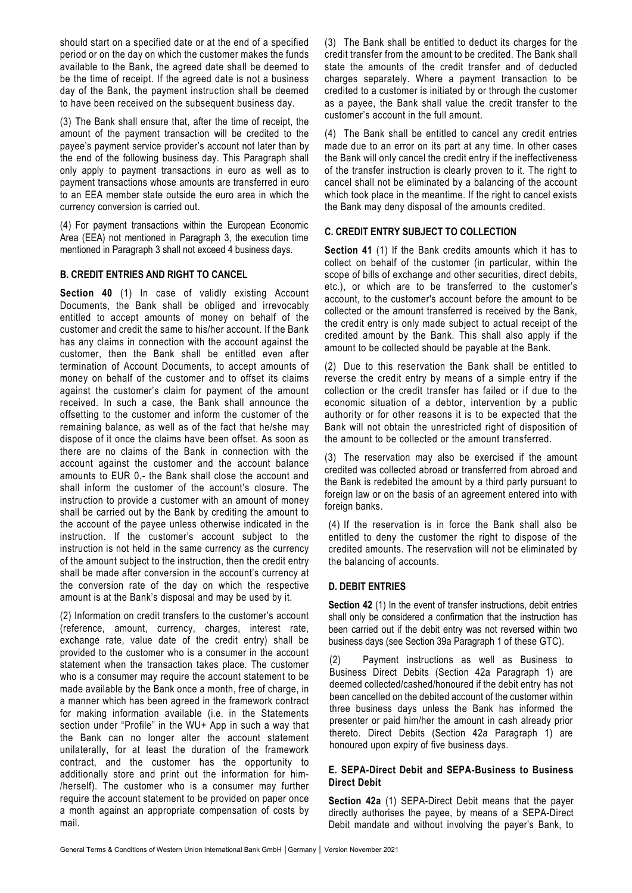should start on a specified date or at the end of a specified period or on the day on which the customer makes the funds available to the Bank, the agreed date shall be deemed to be the time of receipt. If the agreed date is not a business day of the Bank, the payment instruction shall be deemed to have been received on the subsequent business day.

(3) The Bank shall ensure that, after the time of receipt, the amount of the payment transaction will be credited to the payee's payment service provider's account not later than by the end of the following business day. This Paragraph shall only apply to payment transactions in euro as well as to payment transactions whose amounts are transferred in euro to an EEA member state outside the euro area in which the currency conversion is carried out.

(4) For payment transactions within the European Economic Area (EEA) not mentioned in Paragraph 3, the execution time mentioned in Paragraph 3 shall not exceed 4 business days.

## **B. CREDIT ENTRIES AND RIGHT TO CANCEL**

**Section 40** (1) In case of validly existing Account Documents, the Bank shall be obliged and irrevocably entitled to accept amounts of money on behalf of the customer and credit the same to his/her account. If the Bank has any claims in connection with the account against the customer, then the Bank shall be entitled even after termination of Account Documents, to accept amounts of money on behalf of the customer and to offset its claims against the customer's claim for payment of the amount received. In such a case, the Bank shall announce the offsetting to the customer and inform the customer of the remaining balance, as well as of the fact that he/she may dispose of it once the claims have been offset. As soon as there are no claims of the Bank in connection with the account against the customer and the account balance amounts to EUR 0,- the Bank shall close the account and shall inform the customer of the account's closure. The instruction to provide a customer with an amount of money shall be carried out by the Bank by crediting the amount to the account of the payee unless otherwise indicated in the instruction. If the customer's account subject to the instruction is not held in the same currency as the currency of the amount subject to the instruction, then the credit entry shall be made after conversion in the account's currency at the conversion rate of the day on which the respective amount is at the Bank's disposal and may be used by it.

(2) Information on credit transfers to the customer's account (reference, amount, currency, charges, interest rate, exchange rate, value date of the credit entry) shall be provided to the customer who is a consumer in the account statement when the transaction takes place. The customer who is a consumer may require the account statement to be made available by the Bank once a month, free of charge, in a manner which has been agreed in the framework contract for making information available (i.e. in the Statements section under "Profile" in the WU+ App in such a way that the Bank can no longer alter the account statement unilaterally, for at least the duration of the framework contract, and the customer has the opportunity to additionally store and print out the information for him- /herself). The customer who is a consumer may further require the account statement to be provided on paper once a month against an appropriate compensation of costs by mail.

(3) The Bank shall be entitled to deduct its charges for the credit transfer from the amount to be credited. The Bank shall state the amounts of the credit transfer and of deducted charges separately. Where a payment transaction to be credited to a customer is initiated by or through the customer as a payee, the Bank shall value the credit transfer to the customer's account in the full amount.

(4) The Bank shall be entitled to cancel any credit entries made due to an error on its part at any time. In other cases the Bank will only cancel the credit entry if the ineffectiveness of the transfer instruction is clearly proven to it. The right to cancel shall not be eliminated by a balancing of the account which took place in the meantime. If the right to cancel exists the Bank may deny disposal of the amounts credited.

## **C. CREDIT ENTRY SUBJECT TO COLLECTION**

**Section 41** (1) If the Bank credits amounts which it has to collect on behalf of the customer (in particular, within the scope of bills of exchange and other securities, direct debits, etc.), or which are to be transferred to the customer's account, to the customer's account before the amount to be collected or the amount transferred is received by the Bank, the credit entry is only made subject to actual receipt of the credited amount by the Bank. This shall also apply if the amount to be collected should be payable at the Bank.

(2) Due to this reservation the Bank shall be entitled to reverse the credit entry by means of a simple entry if the collection or the credit transfer has failed or if due to the economic situation of a debtor, intervention by a public authority or for other reasons it is to be expected that the Bank will not obtain the unrestricted right of disposition of the amount to be collected or the amount transferred.

(3) The reservation may also be exercised if the amount credited was collected abroad or transferred from abroad and the Bank is redebited the amount by a third party pursuant to foreign law or on the basis of an agreement entered into with foreign banks.

(4) If the reservation is in force the Bank shall also be entitled to deny the customer the right to dispose of the credited amounts. The reservation will not be eliminated by the balancing of accounts.

# **D. DEBIT ENTRIES**

**Section 42** (1) In the event of transfer instructions, debit entries shall only be considered a confirmation that the instruction has been carried out if the debit entry was not reversed within two business days (see Section 39a Paragraph 1 of these GTC).

(2) Payment instructions as well as Business to Business Direct Debits (Section 42a Paragraph 1) are deemed collected/cashed/honoured if the debit entry has not been cancelled on the debited account of the customer within three business days unless the Bank has informed the presenter or paid him/her the amount in cash already prior thereto. Direct Debits (Section 42a Paragraph 1) are honoured upon expiry of five business days.

## **E. SEPA-Direct Debit and SEPA-Business to Business Direct Debit**

**Section 42a** (1) SEPA-Direct Debit means that the payer directly authorises the payee, by means of a SEPA-Direct Debit mandate and without involving the payer's Bank, to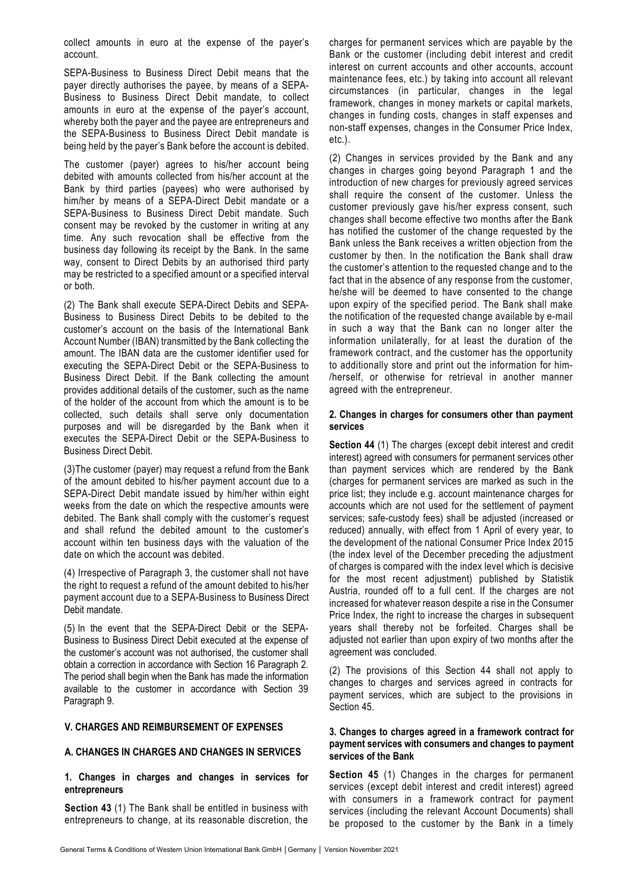collect amounts in euro at the expense of the payer's account.

SEPA-Business to Business Direct Debit means that the payer directly authorises the payee, by means of a SEPA-Business to Business Direct Debit mandate, to collect amounts in euro at the expense of the payer's account, whereby both the payer and the payee are entrepreneurs and the SEPA-Business to Business Direct Debit mandate is being held by the payer's Bank before the account is debited.

The customer (payer) agrees to his/her account being debited with amounts collected from his/her account at the Bank by third parties (payees) who were authorised by him/her by means of a SEPA-Direct Debit mandate or a SEPA-Business to Business Direct Debit mandate. Such consent may be revoked by the customer in writing at any time. Any such revocation shall be effective from the business day following its receipt by the Bank. In the same way, consent to Direct Debits by an authorised third party may be restricted to a specified amount or a specified interval or both.

(2) The Bank shall execute SEPA-Direct Debits and SEPA-Business to Business Direct Debits to be debited to the customer's account on the basis of the International Bank Account Number (IBAN) transmitted by the Bank collecting the amount. The IBAN data are the customer identifier used for executing the SEPA-Direct Debit or the SEPA-Business to Business Direct Debit. If the Bank collecting the amount provides additional details of the customer, such as the name of the holder of the account from which the amount is to be collected, such details shall serve only documentation purposes and will be disregarded by the Bank when it executes the SEPA-Direct Debit or the SEPA-Business to Business Direct Debit.

(3)The customer (payer) may request a refund from the Bank of the amount debited to his/her payment account due to a SEPA-Direct Debit mandate issued by him/her within eight weeks from the date on which the respective amounts were debited. The Bank shall comply with the customer's request and shall refund the debited amount to the customer's account within ten business days with the valuation of the date on which the account was debited.

(4) Irrespective of Paragraph 3, the customer shall not have the right to request a refund of the amount debited to his/her payment account due to a SEPA-Business to Business Direct Debit mandate.

(5) In the event that the SEPA-Direct Debit or the SEPA-Business to Business Direct Debit executed at the expense of the customer's account was not authorised, the customer shall obtain a correction in accordance with Section 16 Paragraph 2. The period shall begin when the Bank has made the information available to the customer in accordance with Section 39 Paragraph 9.

### **V. CHARGES AND REIMBURSEMENT OF EXPENSES**

### **A. CHANGES IN CHARGES AND CHANGES IN SERVICES**

### **1. Changes in charges and changes in services for entrepreneurs**

**Section 43** (1) The Bank shall be entitled in business with entrepreneurs to change, at its reasonable discretion, the

charges for permanent services which are payable by the Bank or the customer (including debit interest and credit interest on current accounts and other accounts, account maintenance fees, etc.) by taking into account all relevant circumstances (in particular, changes in the legal framework, changes in money markets or capital markets, changes in funding costs, changes in staff expenses and non-staff expenses, changes in the Consumer Price Index, etc.).

(2) Changes in services provided by the Bank and any changes in charges going beyond Paragraph 1 and the introduction of new charges for previously agreed services shall require the consent of the customer. Unless the customer previously gave his/her express consent, such changes shall become effective two months after the Bank has notified the customer of the change requested by the Bank unless the Bank receives a written objection from the customer by then. In the notification the Bank shall draw the customer's attention to the requested change and to the fact that in the absence of any response from the customer, he/she will be deemed to have consented to the change upon expiry of the specified period. The Bank shall make the notification of the requested change available by e-mail in such a way that the Bank can no longer alter the information unilaterally, for at least the duration of the framework contract, and the customer has the opportunity to additionally store and print out the information for him- /herself, or otherwise for retrieval in another manner agreed with the entrepreneur.

#### **2. Changes in charges for consumers other than payment services**

**Section 44** (1) The charges (except debit interest and credit interest) agreed with consumers for permanent services other than payment services which are rendered by the Bank (charges for permanent services are marked as such in the price list; they include e.g. account maintenance charges for accounts which are not used for the settlement of payment services; safe-custody fees) shall be adjusted (increased or reduced) annually, with effect from 1 April of every year, to the development of the national Consumer Price Index 2015 (the index level of the December preceding the adjustment of charges is compared with the index level which is decisive for the most recent adjustment) published by Statistik Austria, rounded off to a full cent. If the charges are not increased for whatever reason despite a rise in the Consumer Price Index, the right to increase the charges in subsequent years shall thereby not be forfeited. Charges shall be adjusted not earlier than upon expiry of two months after the agreement was concluded.

(2) The provisions of this Section 44 shall not apply to changes to charges and services agreed in contracts for payment services, which are subject to the provisions in Section 45.

### **3. Changes to charges agreed in a framework contract for payment services with consumers and changes to payment services of the Bank**

**Section 45** (1) Changes in the charges for permanent services (except debit interest and credit interest) agreed with consumers in a framework contract for payment services (including the relevant Account Documents) shall be proposed to the customer by the Bank in a timely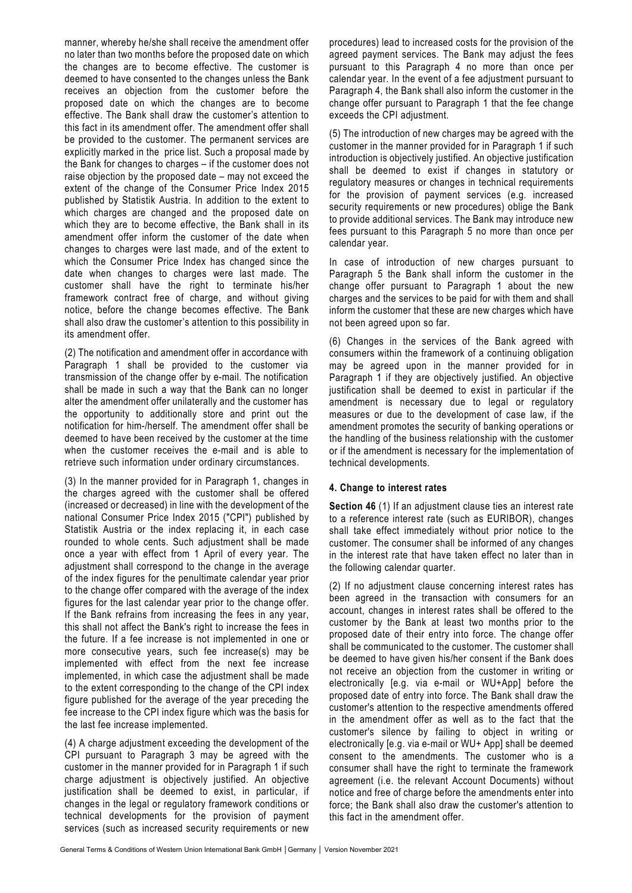manner, whereby he/she shall receive the amendment offer no later than two months before the proposed date on which the changes are to become effective. The customer is deemed to have consented to the changes unless the Bank receives an objection from the customer before the proposed date on which the changes are to become effective. The Bank shall draw the customer's attention to this fact in its amendment offer. The amendment offer shall be provided to the customer. The permanent services are explicitly marked in the price list. Such a proposal made by the Bank for changes to charges – if the customer does not raise objection by the proposed date – may not exceed the extent of the change of the Consumer Price Index 2015 published by Statistik Austria. In addition to the extent to which charges are changed and the proposed date on which they are to become effective, the Bank shall in its amendment offer inform the customer of the date when changes to charges were last made, and of the extent to which the Consumer Price Index has changed since the date when changes to charges were last made. The customer shall have the right to terminate his/her framework contract free of charge, and without giving notice, before the change becomes effective. The Bank shall also draw the customer's attention to this possibility in its amendment offer.

(2) The notification and amendment offer in accordance with Paragraph 1 shall be provided to the customer via transmission of the change offer by e-mail. The notification shall be made in such a way that the Bank can no longer alter the amendment offer unilaterally and the customer has the opportunity to additionally store and print out the notification for him-/herself. The amendment offer shall be deemed to have been received by the customer at the time when the customer receives the e-mail and is able to retrieve such information under ordinary circumstances.

(3) In the manner provided for in Paragraph 1, changes in the charges agreed with the customer shall be offered (increased or decreased) in line with the development of the national Consumer Price Index 2015 ("CPI") published by Statistik Austria or the index replacing it, in each case rounded to whole cents. Such adjustment shall be made once a year with effect from 1 April of every year. The adjustment shall correspond to the change in the average of the index figures for the penultimate calendar year prior to the change offer compared with the average of the index figures for the last calendar year prior to the change offer. If the Bank refrains from increasing the fees in any year, this shall not affect the Bank's right to increase the fees in the future. If a fee increase is not implemented in one or more consecutive years, such fee increase(s) may be implemented with effect from the next fee increase implemented, in which case the adjustment shall be made to the extent corresponding to the change of the CPI index figure published for the average of the year preceding the fee increase to the CPI index figure which was the basis for the last fee increase implemented.

(4) A charge adjustment exceeding the development of the CPI pursuant to Paragraph 3 may be agreed with the customer in the manner provided for in Paragraph 1 if such charge adjustment is objectively justified. An objective justification shall be deemed to exist, in particular, if changes in the legal or regulatory framework conditions or technical developments for the provision of payment services (such as increased security requirements or new

procedures) lead to increased costs for the provision of the agreed payment services. The Bank may adjust the fees pursuant to this Paragraph 4 no more than once per calendar year. In the event of a fee adjustment pursuant to Paragraph 4, the Bank shall also inform the customer in the change offer pursuant to Paragraph 1 that the fee change exceeds the CPI adjustment.

(5) The introduction of new charges may be agreed with the customer in the manner provided for in Paragraph 1 if such introduction is objectively justified. An objective justification shall be deemed to exist if changes in statutory or regulatory measures or changes in technical requirements for the provision of payment services (e.g. increased security requirements or new procedures) oblige the Bank to provide additional services. The Bank may introduce new fees pursuant to this Paragraph 5 no more than once per calendar year.

In case of introduction of new charges pursuant to Paragraph 5 the Bank shall inform the customer in the change offer pursuant to Paragraph 1 about the new charges and the services to be paid for with them and shall inform the customer that these are new charges which have not been agreed upon so far.

(6) Changes in the services of the Bank agreed with consumers within the framework of a continuing obligation may be agreed upon in the manner provided for in Paragraph 1 if they are objectively justified. An objective justification shall be deemed to exist in particular if the amendment is necessary due to legal or regulatory measures or due to the development of case law, if the amendment promotes the security of banking operations or the handling of the business relationship with the customer or if the amendment is necessary for the implementation of technical developments.

# **4. Change to interest rates**

**Section 46** (1) If an adjustment clause ties an interest rate to a reference interest rate (such as EURIBOR), changes shall take effect immediately without prior notice to the customer. The consumer shall be informed of any changes in the interest rate that have taken effect no later than in the following calendar quarter.

(2) If no adjustment clause concerning interest rates has been agreed in the transaction with consumers for an account, changes in interest rates shall be offered to the customer by the Bank at least two months prior to the proposed date of their entry into force. The change offer shall be communicated to the customer. The customer shall be deemed to have given his/her consent if the Bank does not receive an objection from the customer in writing or electronically [e.g. via e-mail or WU+App] before the proposed date of entry into force. The Bank shall draw the customer's attention to the respective amendments offered in the amendment offer as well as to the fact that the customer's silence by failing to object in writing or electronically [e.g. via e-mail or WU+ App] shall be deemed consent to the amendments. The customer who is a consumer shall have the right to terminate the framework agreement (i.e. the relevant Account Documents) without notice and free of charge before the amendments enter into force; the Bank shall also draw the customer's attention to this fact in the amendment offer.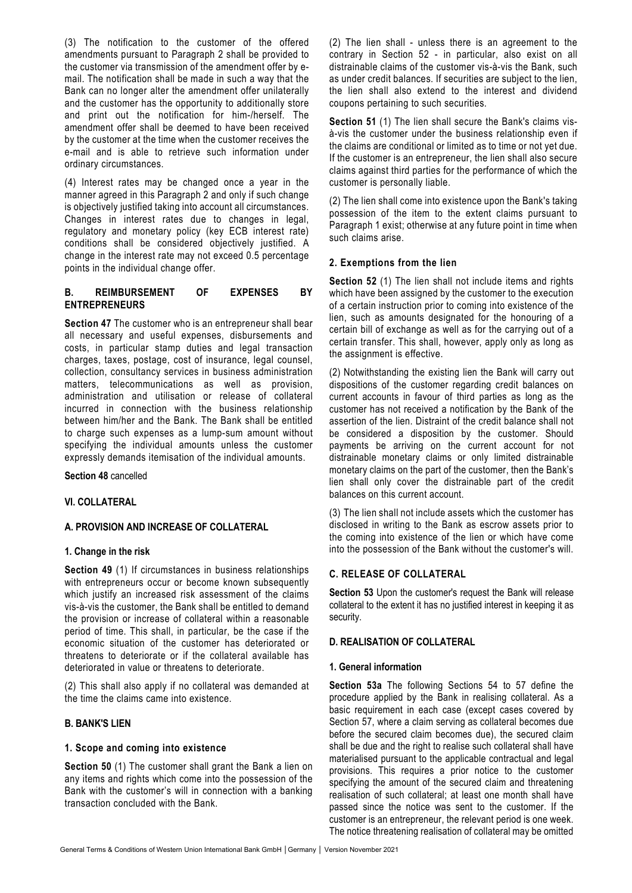(3) The notification to the customer of the offered amendments pursuant to Paragraph 2 shall be provided to the customer via transmission of the amendment offer by email. The notification shall be made in such a way that the Bank can no longer alter the amendment offer unilaterally and the customer has the opportunity to additionally store and print out the notification for him-/herself. The amendment offer shall be deemed to have been received by the customer at the time when the customer receives the e-mail and is able to retrieve such information under ordinary circumstances.

(4) Interest rates may be changed once a year in the manner agreed in this Paragraph 2 and only if such change is objectively justified taking into account all circumstances. Changes in interest rates due to changes in legal, regulatory and monetary policy (key ECB interest rate) conditions shall be considered objectively justified. A change in the interest rate may not exceed 0.5 percentage points in the individual change offer.

## **B. REIMBURSEMENT OF EXPENSES BY ENTREPRENEURS**

**Section 47** The customer who is an entrepreneur shall bear all necessary and useful expenses, disbursements and costs, in particular stamp duties and legal transaction charges, taxes, postage, cost of insurance, legal counsel, collection, consultancy services in business administration matters, telecommunications as well as provision, administration and utilisation or release of collateral incurred in connection with the business relationship between him/her and the Bank. The Bank shall be entitled to charge such expenses as a lump-sum amount without specifying the individual amounts unless the customer expressly demands itemisation of the individual amounts.

**Section 48** cancelled

### **VI. COLLATERAL**

### **A. PROVISION AND INCREASE OF COLLATERAL**

#### **1. Change in the risk**

**Section 49** (1) If circumstances in business relationships with entrepreneurs occur or become known subsequently which justify an increased risk assessment of the claims vis-à-vis the customer, the Bank shall be entitled to demand the provision or increase of collateral within a reasonable period of time. This shall, in particular, be the case if the economic situation of the customer has deteriorated or threatens to deteriorate or if the collateral available has deteriorated in value or threatens to deteriorate.

(2) This shall also apply if no collateral was demanded at the time the claims came into existence.

### **B. BANK'S LIEN**

#### **1. Scope and coming into existence**

**Section 50** (1) The customer shall grant the Bank a lien on any items and rights which come into the possession of the Bank with the customer's will in connection with a banking transaction concluded with the Bank.

(2) The lien shall - unless there is an agreement to the contrary in Section 52 - in particular, also exist on all distrainable claims of the customer vis-à-vis the Bank, such as under credit balances. If securities are subject to the lien, the lien shall also extend to the interest and dividend coupons pertaining to such securities.

**Section 51** (1) The lien shall secure the Bank's claims visà-vis the customer under the business relationship even if the claims are conditional or limited as to time or not yet due. If the customer is an entrepreneur, the lien shall also secure claims against third parties for the performance of which the customer is personally liable.

(2) The lien shall come into existence upon the Bank's taking possession of the item to the extent claims pursuant to Paragraph 1 exist; otherwise at any future point in time when such claims arise.

### **2. Exemptions from the lien**

**Section 52** (1) The lien shall not include items and rights which have been assigned by the customer to the execution of a certain instruction prior to coming into existence of the lien, such as amounts designated for the honouring of a certain bill of exchange as well as for the carrying out of a certain transfer. This shall, however, apply only as long as the assignment is effective.

(2) Notwithstanding the existing lien the Bank will carry out dispositions of the customer regarding credit balances on current accounts in favour of third parties as long as the customer has not received a notification by the Bank of the assertion of the lien. Distraint of the credit balance shall not be considered a disposition by the customer. Should payments be arriving on the current account for not distrainable monetary claims or only limited distrainable monetary claims on the part of the customer, then the Bank's lien shall only cover the distrainable part of the credit balances on this current account.

(3) The lien shall not include assets which the customer has disclosed in writing to the Bank as escrow assets prior to the coming into existence of the lien or which have come into the possession of the Bank without the customer's will.

### **C. RELEASE OF COLLATERAL**

**Section 53** Upon the customer's request the Bank will release collateral to the extent it has no justified interest in keeping it as security.

#### **D. REALISATION OF COLLATERAL**

#### **1. General information**

**Section 53a** The following Sections 54 to 57 define the procedure applied by the Bank in realising collateral. As a basic requirement in each case (except cases covered by Section 57, where a claim serving as collateral becomes due before the secured claim becomes due), the secured claim shall be due and the right to realise such collateral shall have materialised pursuant to the applicable contractual and legal provisions. This requires a prior notice to the customer specifying the amount of the secured claim and threatening realisation of such collateral; at least one month shall have passed since the notice was sent to the customer. If the customer is an entrepreneur, the relevant period is one week. The notice threatening realisation of collateral may be omitted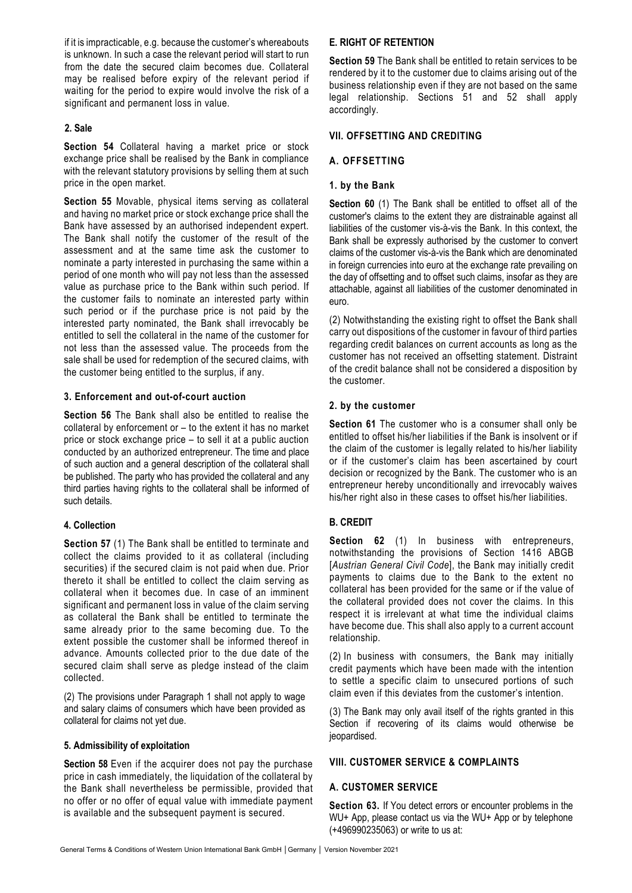if it is impracticable, e.g. because the customer's whereabouts is unknown. In such a case the relevant period will start to run from the date the secured claim becomes due. Collateral may be realised before expiry of the relevant period if waiting for the period to expire would involve the risk of a significant and permanent loss in value.

## **2. Sale**

**Section 54** Collateral having a market price or stock exchange price shall be realised by the Bank in compliance with the relevant statutory provisions by selling them at such price in the open market.

**Section 55** Movable, physical items serving as collateral and having no market price or stock exchange price shall the Bank have assessed by an authorised independent expert. The Bank shall notify the customer of the result of the assessment and at the same time ask the customer to nominate a party interested in purchasing the same within a period of one month who will pay not less than the assessed value as purchase price to the Bank within such period. If the customer fails to nominate an interested party within such period or if the purchase price is not paid by the interested party nominated, the Bank shall irrevocably be entitled to sell the collateral in the name of the customer for not less than the assessed value. The proceeds from the sale shall be used for redemption of the secured claims, with the customer being entitled to the surplus, if any.

## **3. Enforcement and out-of-court auction**

**Section 56** The Bank shall also be entitled to realise the collateral by enforcement or – to the extent it has no market price or stock exchange price – to sell it at a public auction conducted by an authorized entrepreneur. The time and place of such auction and a general description of the collateral shall be published. The party who has provided the collateral and any third parties having rights to the collateral shall be informed of such details.

### **4. Collection**

**Section 57** (1) The Bank shall be entitled to terminate and collect the claims provided to it as collateral (including securities) if the secured claim is not paid when due. Prior thereto it shall be entitled to collect the claim serving as collateral when it becomes due. In case of an imminent significant and permanent loss in value of the claim serving as collateral the Bank shall be entitled to terminate the same already prior to the same becoming due. To the extent possible the customer shall be informed thereof in advance. Amounts collected prior to the due date of the secured claim shall serve as pledge instead of the claim collected.

(2) The provisions under Paragraph 1 shall not apply to wage and salary claims of consumers which have been provided as collateral for claims not yet due.

### **5. Admissibility of exploitation**

**Section 58** Even if the acquirer does not pay the purchase price in cash immediately, the liquidation of the collateral by the Bank shall nevertheless be permissible, provided that no offer or no offer of equal value with immediate payment is available and the subsequent payment is secured.

## **E. RIGHT OF RETENTION**

**Section 59** The Bank shall be entitled to retain services to be rendered by it to the customer due to claims arising out of the business relationship even if they are not based on the same legal relationship. Sections 51 and 52 shall apply accordingly.

## **VII. OFFSETTING AND CREDITING**

## **A. OFFSETTING**

## **1. by the Bank**

**Section 60** (1) The Bank shall be entitled to offset all of the customer's claims to the extent they are distrainable against all liabilities of the customer vis-à-vis the Bank. In this context, the Bank shall be expressly authorised by the customer to convert claims of the customer vis-à-vis the Bank which are denominated in foreign currencies into euro at the exchange rate prevailing on the day of offsetting and to offset such claims, insofar as they are attachable, against all liabilities of the customer denominated in euro.

(2) Notwithstanding the existing right to offset the Bank shall carry out dispositions of the customer in favour of third parties regarding credit balances on current accounts as long as the customer has not received an offsetting statement. Distraint of the credit balance shall not be considered a disposition by the customer.

### **2. by the customer**

**Section 61** The customer who is a consumer shall only be entitled to offset his/her liabilities if the Bank is insolvent or if the claim of the customer is legally related to his/her liability or if the customer's claim has been ascertained by court decision or recognized by the Bank. The customer who is an entrepreneur hereby unconditionally and irrevocably waives his/her right also in these cases to offset his/her liabilities.

# **B. CREDIT**

**Section 62** (1) In business with entrepreneurs, notwithstanding the provisions of Section 1416 ABGB [*Austrian General Civil Code*], the Bank may initially credit payments to claims due to the Bank to the extent no collateral has been provided for the same or if the value of the collateral provided does not cover the claims. In this respect it is irrelevant at what time the individual claims have become due. This shall also apply to a current account relationship.

(2) In business with consumers, the Bank may initially credit payments which have been made with the intention to settle a specific claim to unsecured portions of such claim even if this deviates from the customer's intention.

(3) The Bank may only avail itself of the rights granted in this Section if recovering of its claims would otherwise be jeopardised.

### **VIII. CUSTOMER SERVICE & COMPLAINTS**

# **A. CUSTOMER SERVICE**

**Section 63.** If You detect errors or encounter problems in the WU+ App, please contact us via the WU+ App or by telephone (+496990235063) or write to us at: